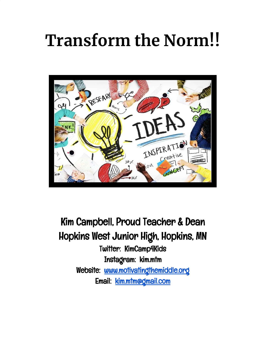# **Transform the Norm!!**



Kim Campbell, Proud Teacher & Dean Hopkins West Junior High, Hopkins, MN Twitter: KimCamp4Kids Instagram: kim.mtm Website: [www.motivatingthemiddle.org](http://www.motivatingthemiddle.org/) Email: [kim.mtm@gmail.com](mailto:kim.mtm@gmail.com)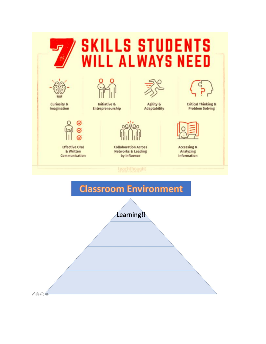## **SKILLS STUDENTS IILL ALWAYS NEED**



**Curiosity &** Imagination

**Effective Oral** 

& Written

Communication



**Initiative &** Entrepreneurship



**Agility & Adaptability** 



**Collaboration Across Networks & Leading** by Influence

#### teachthought



**Critical Thinking & Problem Solving** 



**Accessing &** Analyzing **Information** 

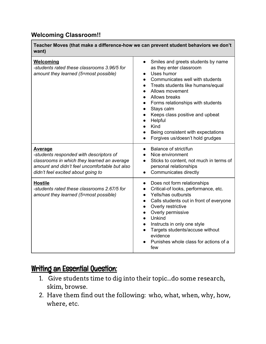#### **Welcoming Classroom!!**

| Teacher Moves (that make a difference-how we can prevent student behaviors we don't<br>want)                                                                                                    |                                                                                                                                                                                                                                                                                                                                                                                                                                                                                    |
|-------------------------------------------------------------------------------------------------------------------------------------------------------------------------------------------------|------------------------------------------------------------------------------------------------------------------------------------------------------------------------------------------------------------------------------------------------------------------------------------------------------------------------------------------------------------------------------------------------------------------------------------------------------------------------------------|
| Welcoming<br>-students rated these classrooms 3.96/5 for<br>amount they learned (5=most possible)                                                                                               | Smiles and greets students by name<br>$\bullet$<br>as they enter classroom<br>Uses humor<br>Communicates well with students<br>$\bullet$<br>Treats students like humans/equal<br>$\bullet$<br>Allows movement<br>$\bullet$<br>Allows breaks<br>$\bullet$<br>Forms relationships with students<br>$\bullet$<br>Stays calm<br>$\bullet$<br>Keeps class positive and upbeat<br>$\bullet$<br>Helpful<br>Kind<br>Being consistent with expectations<br>Forgives us/doesn't hold grudges |
| <u>Average</u><br>-students responded with descriptors of<br>classrooms in which they learned an average<br>amount and didn't feel uncomfortable but also<br>didn't feel excited about going to | Balance of strict/fun<br>$\bullet$<br>Nice environment<br>Sticks to content, not much in terms of<br>personal relationships<br>Communicates directly<br>$\bullet$                                                                                                                                                                                                                                                                                                                  |
| <b>Hostile</b><br>-students rated these classrooms 2.67/5 for<br>amount they learned (5=most possible)                                                                                          | Does not form relationships<br>$\bullet$<br>Critical-of looks, performance, etc.<br>$\bullet$<br>Yells/has outbursts<br>$\bullet$<br>Calls students out in front of everyone<br>$\bullet$<br>Overly restrictive<br>$\bullet$<br>Overly permissive<br>$\bullet$<br>Unkind<br>$\bullet$<br>Instructs in only one style<br>$\bullet$<br>Targets students/accuse without<br>evidence<br>Punishes whole class for actions of a<br>few                                                   |

#### Writing an Essential Question:

- 1. Give students time to dig into their topic...do some research, skim, browse.
- 2. Have them find out the following: who, what, when, why, how, where, etc.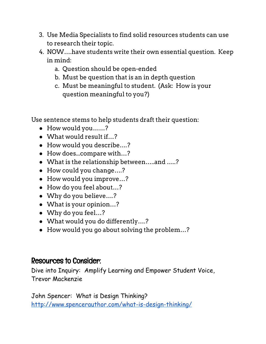- 3. Use Media Specialists to find solid resources students can use to research their topic.
- 4. NOW….have students write their own essential question. Keep in mind:
	- a. Question should be open-ended
	- b. Must be question that is an in depth question
	- c. Must be meaningful to student. (Ask: How is your question meaningful to you?)

Use sentence stems to help students draft their question:

- How would you……?
- What would result if…?
- How would you describe….?
- How does...compare with…?
- What is the relationship between…..and …..?
- How could you change….?
- How would you improve...?
- How do you feel about…?
- Why do you believe....?
- What is your opinion…?
- Why do you feel…?
- What would you do differently….?
- How would you go about solving the problem…?

### Resources to Consider:

Dive into Inquiry: Amplify Learning and Empower Student Voice, Trevor Mackenzie

John Spencer: What is Design Thinking? <http://www.spencerauthor.com/what-is-design-thinking/>